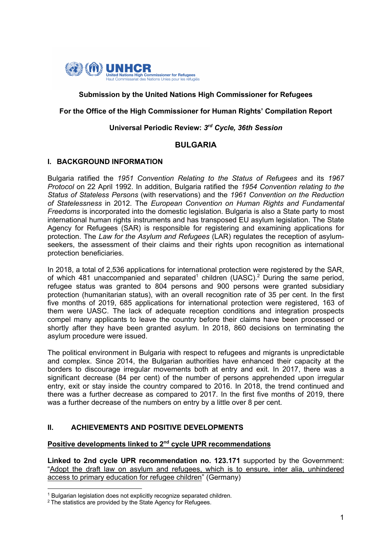

# **Submission by the United Nations High Commissioner for Refugees**

## **For the Office of the High Commissioner for Human Rights' Compilation Report**

## **Universal Periodic Review:** *3rd Cycle, 36th Session*

#### **BULGARIA**

#### **I. BACKGROUND INFORMATION**

Bulgaria ratified the *1951 Convention Relating to the Status of Refugees* and its *1967 Protocol* on 22 April 1992. In addition, Bulgaria ratified the *1954 Convention relating to the Status of Stateless Persons* (with reservations) and the *1961 Convention on the Reduction of Statelessness* in 2012. The *European Convention on Human Rights and Fundamental Freedoms* is incorporated into the domestic legislation. Bulgaria is also a State party to most international human rights instruments and has transposed EU asylum legislation. The State Agency for Refugees (SAR) is responsible for registering and examining applications for protection. The *Law for the Asylum and Refugees* (LAR) regulates the reception of asylumseekers, the assessment of their claims and their rights upon recognition as international protection beneficiaries.

In 2018, a total of 2,536 applications for international protection were registered by the SAR, of which 481 unaccompanied and separated<sup>1</sup> children (UASC).<sup>2</sup> During the same period, refugee status was granted to 804 persons and 900 persons were granted subsidiary protection (humanitarian status), with an overall recognition rate of 35 per cent. In the first five months of 2019, 685 applications for international protection were registered, 163 of them were UASC. The lack of adequate reception conditions and integration prospects compel many applicants to leave the country before their claims have been processed or shortly after they have been granted asylum. In 2018, 860 decisions on terminating the asylum procedure were issued.

The political environment in Bulgaria with respect to refugees and migrants is unpredictable and complex. Since 2014, the Bulgarian authorities have enhanced their capacity at the borders to discourage irregular movements both at entry and exit. In 2017, there was a significant decrease (84 per cent) of the number of persons apprehended upon irregular entry, exit or stay inside the country compared to 2016. In 2018, the trend continued and there was a further decrease as compared to 2017. In the first five months of 2019, there was a further decrease of the numbers on entry by a little over 8 per cent.

## **II. ACHIEVEMENTS AND POSITIVE DEVELOPMENTS**

# **Positive developments linked to 2nd cycle UPR recommendations**

**Linked to 2nd cycle UPR recommendation no. 123.171** supported by the Government: "Adopt the draft law on asylum and refugees, which is to ensure, inter alia, unhindered access to primary education for refugee children" (Germany)

<sup>&</sup>lt;sup>1</sup> Bulgarian legislation does not explicitly recognize separated children.

<sup>&</sup>lt;sup>2</sup> The statistics are provided by the State Agency for Refugees.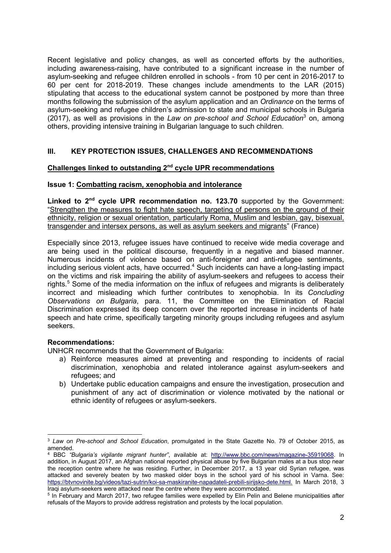Recent legislative and policy changes, as well as concerted efforts by the authorities, including awareness-raising, have contributed to a significant increase in the number of asylum-seeking and refugee children enrolled in schools - from 10 per cent in 2016-2017 to 60 per cent for 2018-2019. These changes include amendments to the LAR (2015) stipulating that access to the educational system cannot be postponed by more than three months following the submission of the asylum application and an *Ordinance* on the terms of asylum-seeking and refugee children's admission to state and municipal schools in Bulgaria (2017), as well as provisions in the *Law on pre-school and School Education*<sup>3</sup> on, among others, providing intensive training in Bulgarian language to such children.

# **III. KEY PROTECTION ISSUES, CHALLENGES AND RECOMMENDATIONS**

## **Challenges linked to outstanding 2nd cycle UPR recommendations**

## **Issue 1: Combatting racism, xenophobia and intolerance**

**Linked to 2nd cycle UPR recommendation no. 123.70** supported by the Government: "Strengthen the measures to fight hate speech, targeting of persons on the ground of their ethnicity, religion or sexual orientation, particularly Roma, Muslim and lesbian, gay, bisexual, transgender and intersex persons, as well as asylum seekers and migrants" (France)

Especially since 2013, refugee issues have continued to receive wide media coverage and are being used in the political discourse, frequently in a negative and biased manner. Numerous incidents of violence based on anti-foreigner and anti-refugee sentiments, including serious violent acts, have occurred.<sup>4</sup> Such incidents can have a long-lasting impact on the victims and risk impairing the ability of asylum-seekers and refugees to access their rights*.* <sup>5</sup> Some of the media information on the influx of refugees and migrants is deliberately incorrect and misleading which further contributes to xenophobia. In its *Concluding Observations on Bulgaria*, para. 11, the Committee on the Elimination of Racial Discrimination expressed its deep concern over the reported increase in incidents of hate speech and hate crime, specifically targeting minority groups including refugees and asylum seekers.

## **Recommendations:**

UNHCR recommends that the Government of Bulgaria:

- a) Reinforce measures aimed at preventing and responding to incidents of racial discrimination, xenophobia and related intolerance against asylum-seekers and refugees; and
- b) Undertake public education campaigns and ensure the investigation, prosecution and punishment of any act of discrimination or violence motivated by the national or ethnic identity of refugees or asylum-seekers.

<sup>3</sup> *Law on Pre-school and School Education*, promulgated in the State Gazette No. 79 of October 2015, as amended.

<sup>4</sup> BBC *"Bulgaria's vigilante migrant hunter"*, available at: http://www.bbc.com/news/magazine-35919068. In addition, in August 2017, an Afghan national reported physical abuse by five Bulgarian males at a bus stop near the reception centre where he was residing. Further, in December 2017, a 13 year old Syrian refugee, was attacked and severely beaten by two masked older boys in the school yard of his school in Varna. See: https://btvnovinite.bg/videos/tazi-sutrin/koi-sa-maskiranite-napadateli-prebili-sirijsko-dete.html. In March 2018, 3 Iraqi asylum-seekers were attacked near the centre where they were accommodated.

<sup>5</sup> In February and March 2017, two refugee families were expelled by Elin Pelin and Belene municipalities after refusals of the Mayors to provide address registration and protests by the local population.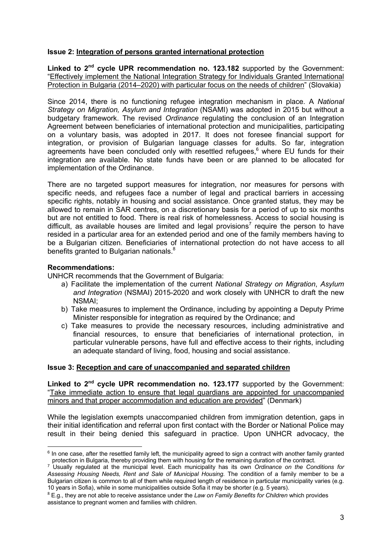## **Issue 2: Integration of persons granted international protection**

Linked to 2<sup>nd</sup> cycle UPR recommendation no. 123.182 supported by the Government: "Effectively implement the National Integration Strategy for Individuals Granted International Protection in Bulgaria (2014–2020) with particular focus on the needs of children" (Slovakia)

Since 2014, there is no functioning refugee integration mechanism in place. A *National Strategy on Migration, Asylum and Integration* (NSAMI) was adopted in 2015 but without a budgetary framework. The revised *Ordinance* regulating the conclusion of an Integration Agreement between beneficiaries of international protection and municipalities, participating on a voluntary basis, was adopted in 2017. It does not foresee financial support for integration, or provision of Bulgarian language classes for adults. So far, integration agreements have been concluded only with resettled refugees,<sup>6</sup> where EU funds for their integration are available. No state funds have been or are planned to be allocated for implementation of the Ordinance.

There are no targeted support measures for integration, nor measures for persons with specific needs, and refugees face a number of legal and practical barriers in accessing specific rights, notably in housing and social assistance. Once granted status, they may be allowed to remain in SAR centres, on a discretionary basis for a period of up to six months but are not entitled to food. There is real risk of homelessness. Access to social housing is difficult, as available houses are limited and legal provisions<sup>7</sup> require the person to have resided in a particular area for an extended period and one of the family members having to be a Bulgarian citizen. Beneficiaries of international protection do not have access to all benefits granted to Bulgarian nationals.<sup>8</sup>

## **Recommendations:**

UNHCR recommends that the Government of Bulgaria:

- a) Facilitate the implementation of the current *National Strategy on Migration*, *Asylum and Integration* (NSMAI) 2015-2020 and work closely with UNHCR to draft the new NSMAI;
- b) Take measures to implement the Ordinance, including by appointing a Deputy Prime Minister responsible for integration as required by the Ordinance; and
- c) Take measures to provide the necessary resources, including administrative and financial resources, to ensure that beneficiaries of international protection, in particular vulnerable persons, have full and effective access to their rights, including an adequate standard of living, food, housing and social assistance.

## **Issue 3: Reception and care of unaccompanied and separated children**

Linked to 2<sup>nd</sup> cycle UPR recommendation no. 123.177 supported by the Government: "Take immediate action to ensure that legal guardians are appointed for unaccompanied minors and that proper accommodation and education are provided" (Denmark)

While the legislation exempts unaccompanied children from immigration detention, gaps in their initial identification and referral upon first contact with the Border or National Police may result in their being denied this safeguard in practice. Upon UNHCR advocacy, the

 $6$  In one case, after the resettled family left, the municipality agreed to sign a contract with another family granted protection in Bulgaria, thereby providing them with housing for the remaining duration of the contract.

<sup>7</sup> Usually regulated at the municipal level. Each municipality has its own *Ordinance on the Conditions for Assessing Housing Needs, Rent and Sale of Municipal Housing*. The condition of a family member to be a Bulgarian citizen is common to all of them while required length of residence in particular municipality varies (e.g. 10 years in Sofia), while in some municipalities outside Sofia it may be shorter (e.g. 5 years).

<sup>8</sup> E.g., they are not able to receive assistance under the *Law on Family Benefits for Children* which provides assistance to pregnant women and families with children.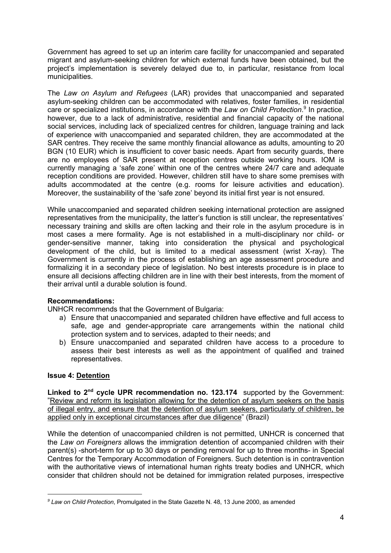Government has agreed to set up an interim care facility for unaccompanied and separated migrant and asylum-seeking children for which external funds have been obtained, but the project's implementation is severely delayed due to, in particular, resistance from local municipalities.

The *Law on Asylum and Refugees* (LAR) provides that unaccompanied and separated asylum-seeking children can be accommodated with relatives, foster families, in residential care or specialized institutions, in accordance with the *Law on Child Protection*. <sup>9</sup> In practice, however, due to a lack of administrative, residential and financial capacity of the national social services, including lack of specialized centres for children, language training and lack of experience with unaccompanied and separated children, they are accommodated at the SAR centres. They receive the same monthly financial allowance as adults, amounting to 20 BGN (10 EUR) which is insufficient to cover basic needs. Apart from security guards, there are no employees of SAR present at reception centres outside working hours. IOM is currently managing a 'safe zone' within one of the centres where 24/7 care and adequate reception conditions are provided. However, children still have to share some premises with adults accommodated at the centre (e.g. rooms for leisure activities and education). Moreover, the sustainability of the 'safe zone' beyond its initial first year is not ensured.

While unaccompanied and separated children seeking international protection are assigned representatives from the municipality, the latter's function is still unclear, the representatives' necessary training and skills are often lacking and their role in the asylum procedure is in most cases a mere formality. Age is not established in a multi-disciplinary nor child- or gender-sensitive manner, taking into consideration the physical and psychological development of the child, but is limited to a medical assessment (wrist X-ray). The Government is currently in the process of establishing an age assessment procedure and formalizing it in a secondary piece of legislation. No best interests procedure is in place to ensure all decisions affecting children are in line with their best interests, from the moment of their arrival until a durable solution is found.

# **Recommendations:**

UNHCR recommends that the Government of Bulgaria:

- a) Ensure that unaccompanied and separated children have effective and full access to safe, age and gender-appropriate care arrangements within the national child protection system and to services, adapted to their needs; and
- b) Ensure unaccompanied and separated children have access to a procedure to assess their best interests as well as the appointment of qualified and trained representatives.

## **Issue 4: Detention**

**Linked to 2nd cycle UPR recommendation no. 123.174** supported by the Government: "Review and reform its legislation allowing for the detention of asylum seekers on the basis of illegal entry, and ensure that the detention of asylum seekers, particularly of children, be applied only in exceptional circumstances after due diligence" (Brazil)

While the detention of unaccompanied children is not permitted, UNHCR is concerned that the *Law on Foreigners* allows the immigration detention of accompanied children with their parent(s) -short-term for up to 30 days or pending removal for up to three months- in Special Centres for the Temporary Accommodation of Foreigners. Such detention is in contravention with the authoritative views of international human rights treaty bodies and UNHCR, which consider that children should not be detained for immigration related purposes, irrespective

*<sup>9</sup> Law on Child Protection*, Promulgated in the State Gazette N. 48, 13 June 2000, as amended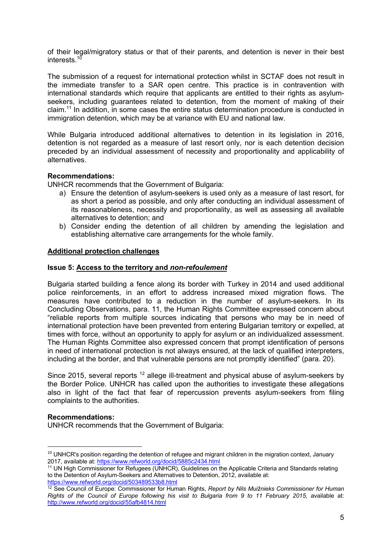of their legal/migratory status or that of their parents, and detention is never in their best interests.10

The submission of a request for international protection whilst in SCTAF does not result in the immediate transfer to a SAR open centre. This practice is in contravention with international standards which require that applicants are entitled to their rights as asylumseekers, including guarantees related to detention, from the moment of making of their claim.<sup>11</sup> In addition, in some cases the entire status determination procedure is conducted in immigration detention, which may be at variance with EU and national law.

While Bulgaria introduced additional alternatives to detention in its legislation in 2016, detention is not regarded as a measure of last resort only, nor is each detention decision preceded by an individual assessment of necessity and proportionality and applicability of alternatives.

#### **Recommendations:**

UNHCR recommends that the Government of Bulgaria:

- a) Ensure the detention of asylum-seekers is used only as a measure of last resort, for as short a period as possible, and only after conducting an individual assessment of its reasonableness, necessity and proportionality, as well as assessing all available alternatives to detention; and
- b) Consider ending the detention of all children by amending the legislation and establishing alternative care arrangements for the whole family.

#### **Additional protection challenges**

#### **Issue 5: Access to the territory and** *non-refoulement*

Bulgaria started building a fence along its border with Turkey in 2014 and used additional police reinforcements, in an effort to address increased mixed migration flows. The measures have contributed to a reduction in the number of asylum-seekers. In its Concluding Observations, para. 11, the Human Rights Committee expressed concern about "reliable reports from multiple sources indicating that persons who may be in need of international protection have been prevented from entering Bulgarian territory or expelled, at times with force, without an opportunity to apply for asylum or an individualized assessment. The Human Rights Committee also expressed concern that prompt identification of persons in need of international protection is not always ensured, at the lack of qualified interpreters, including at the border, and that vulnerable persons are not promptly identified" (para. 20).

Since 2015, several reports <sup>12</sup> allege ill-treatment and physical abuse of asylum-seekers by the Border Police. UNHCR has called upon the authorities to investigate these allegations also in light of the fact that fear of repercussion prevents asylum-seekers from filing complaints to the authorities.

#### **Recommendations:**

UNHCR recommends that the Government of Bulgaria:

<sup>&</sup>lt;sup>10</sup> UNHCR's position regarding the detention of refugee and migrant children in the migration context, January 2017, available at: https://www.refworld.org/docid/5885c2434.html

<sup>11</sup> UN High Commissioner for Refugees (UNHCR), Guidelines on the Applicable Criteria and Standards relating to the Detention of Asylum-Seekers and Alternatives to Detention, 2012, available at: https://www.refworld.org/docid/503489533b8.html

<sup>12</sup> See Council of Europe: Commissioner for Human Rights, *Report by Nils Muižnieks Commissioner for Human Rights of the Council of Europe following his visit to Bulgaria from 9 to 11 February 2015*, available at: http://www.refworld.org/docid/55afb4814.html